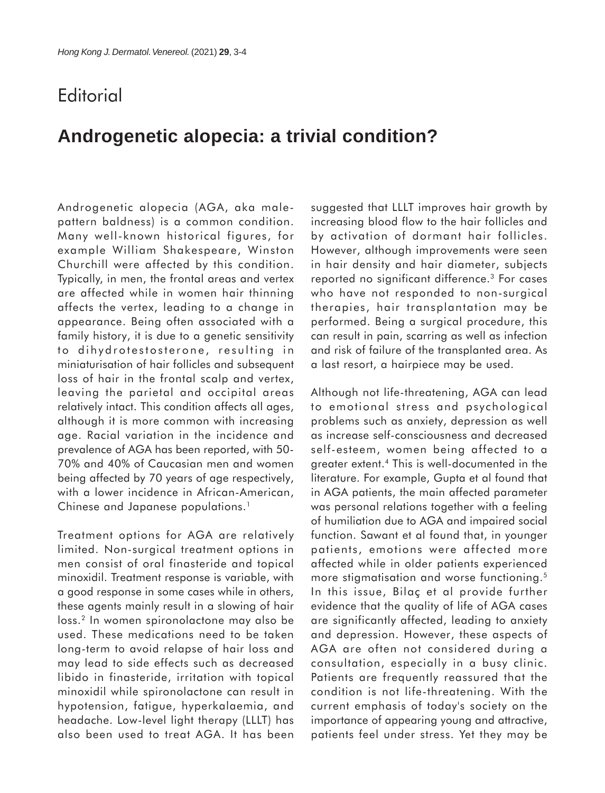## **Editorial**

## **Androgenetic alopecia: a trivial condition?**

Androgenetic alopecia (AGA, aka malepattern baldness) is a common condition. Many well-known historical figures, for example William Shakespeare, Winston Churchill were affected by this condition. Typically, in men, the frontal areas and vertex are affected while in women hair thinning affects the vertex, leading to a change in appearance. Being often associated with a family history, it is due to a genetic sensitivity to dihydrotestosterone, resulting in miniaturisation of hair follicles and subsequent loss of hair in the frontal scalp and vertex, leaving the parietal and occipital areas relatively intact. This condition affects all ages, although it is more common with increasing age. Racial variation in the incidence and prevalence of AGA has been reported, with 50- 70% and 40% of Caucasian men and women being affected by 70 years of age respectively, with a lower incidence in African-American, Chinese and Japanese populations.<sup>1</sup>

Treatment options for AGA are relatively limited. Non-surgical treatment options in men consist of oral finasteride and topical minoxidil. Treatment response is variable, with a good response in some cases while in others, these agents mainly result in a slowing of hair loss.2 In women spironolactone may also be used. These medications need to be taken long-term to avoid relapse of hair loss and may lead to side effects such as decreased libido in finasteride, irritation with topical minoxidil while spironolactone can result in hypotension, fatigue, hyperkalaemia, and headache. Low-level light therapy (LLLT) has also been used to treat AGA. It has been suggested that LLLT improves hair growth by increasing blood flow to the hair follicles and by activation of dormant hair follicles. However, although improvements were seen in hair density and hair diameter, subjects reported no significant difference.3 For cases who have not responded to non-surgical therapies, hair transplantation may be performed. Being a surgical procedure, this can result in pain, scarring as well as infection and risk of failure of the transplanted area. As a last resort, a hairpiece may be used.

Although not life-threatening, AGA can lead to emotional stress and psychological problems such as anxiety, depression as well as increase self-consciousness and decreased self-esteem, women being affected to a greater extent.4 This is well-documented in the literature. For example, Gupta et al found that in AGA patients, the main affected parameter was personal relations together with a feeling of humiliation due to AGA and impaired social function. Sawant et al found that, in younger patients, emotions were affected more affected while in older patients experienced more stigmatisation and worse functioning.<sup>5</sup> In this issue, Bilaç et al provide further evidence that the quality of life of AGA cases are significantly affected, leading to anxiety and depression. However, these aspects of AGA are often not considered during a consultation, especially in a busy clinic. Patients are frequently reassured that the condition is not life-threatening. With the current emphasis of today's society on the importance of appearing young and attractive, patients feel under stress. Yet they may be